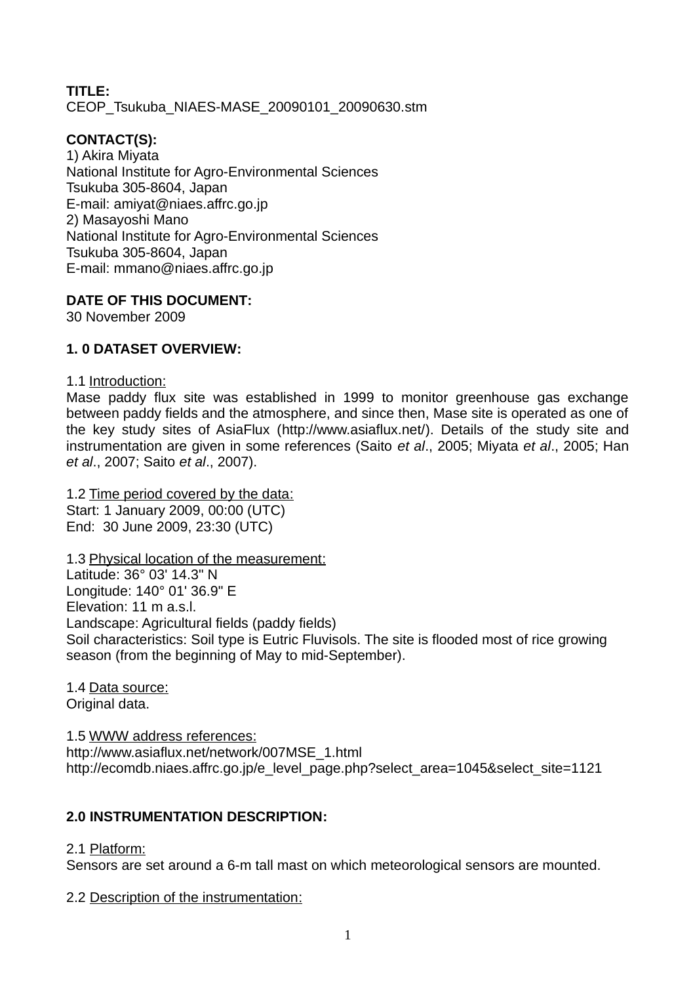# **TITLE:** CEOP\_Tsukuba\_NIAES-MASE\_20090101\_20090630.stm

# **CONTACT(S):**

1) Akira Miyata National Institute for Agro-Environmental Sciences Tsukuba 305-8604, Japan E-mail: amiyat@niaes.affrc.go.jp 2) Masayoshi Mano National Institute for Agro-Environmental Sciences Tsukuba 305-8604, Japan E-mail: mmano@niaes.affrc.go.jp

# **DATE OF THIS DOCUMENT:**

30 November 2009

# **1. 0 DATASET OVERVIEW:**

1.1 Introduction:

Mase paddy flux site was established in 1999 to monitor greenhouse gas exchange between paddy fields and the atmosphere, and since then, Mase site is operated as one of the key study sites of AsiaFlux [\(http://www.asiaflux.net/\)](http://www.asiaflux.net/). Details of the study site and instrumentation are given in some references (Saito *et al*., 2005; Miyata *et al*., 2005; Han *et al*., 2007; Saito *et al*., 2007).

1.2 Time period covered by the data: Start: 1 January 2009, 00:00 (UTC) End: 30 June 2009, 23:30 (UTC)

1.3 Physical location of the measurement: Latitude: 36° 03' 14.3" N Longitude: 140° 01' 36.9" E Elevation: 11 m a.s.l. Landscape: Agricultural fields (paddy fields) Soil characteristics: Soil type is Eutric Fluvisols. The site is flooded most of rice growing season (from the beginning of May to mid-September).

1.4 Data source: Original data.

1.5 WWW address references: http://www.asiaflux.net/network/007MSE\_1.html http://ecomdb.niaes.affrc.go.jp/e level page.php?select area=1045&select site=1121

# **2.0 INSTRUMENTATION DESCRIPTION:**

2.1 Platform:

Sensors are set around a 6-m tall mast on which meteorological sensors are mounted.

2.2 Description of the instrumentation: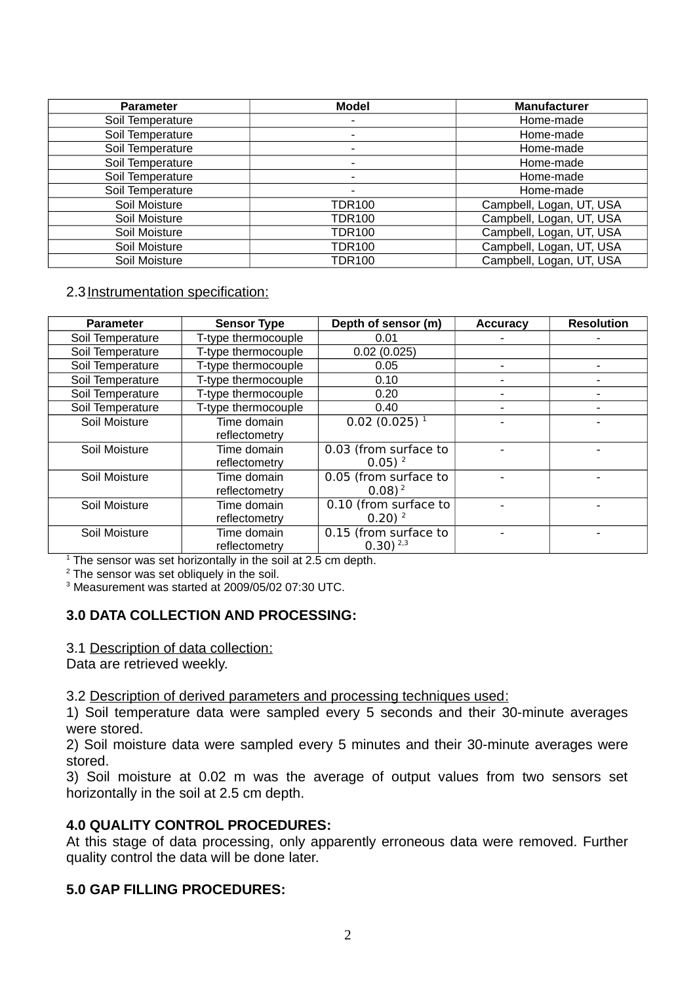| <b>Parameter</b> | <b>Model</b>  | <b>Manufacturer</b>      |  |  |
|------------------|---------------|--------------------------|--|--|
| Soil Temperature | -             | Home-made                |  |  |
| Soil Temperature | -             | Home-made                |  |  |
| Soil Temperature | -             | Home-made                |  |  |
| Soil Temperature | -             | Home-made                |  |  |
| Soil Temperature |               | Home-made                |  |  |
| Soil Temperature |               | Home-made                |  |  |
| Soil Moisture    | <b>TDR100</b> | Campbell, Logan, UT, USA |  |  |
| Soil Moisture    | <b>TDR100</b> | Campbell, Logan, UT, USA |  |  |
| Soil Moisture    | <b>TDR100</b> | Campbell, Logan, UT, USA |  |  |
| Soil Moisture    | <b>TDR100</b> | Campbell, Logan, UT, USA |  |  |
| Soil Moisture    | <b>TDR100</b> | Campbell, Logan, UT, USA |  |  |

### 2.3 Instrumentation specification:

| <b>Parameter</b> | <b>Sensor Type</b>  | Depth of sensor (m)     | <b>Accuracy</b> | <b>Resolution</b> |
|------------------|---------------------|-------------------------|-----------------|-------------------|
| Soil Temperature | T-type thermocouple | 0.01                    |                 |                   |
| Soil Temperature | T-type thermocouple | 0.02(0.025)             |                 |                   |
| Soil Temperature | T-type thermocouple | 0.05                    |                 |                   |
| Soil Temperature | T-type thermocouple | 0.10                    | $\blacksquare$  | $\blacksquare$    |
| Soil Temperature | T-type thermocouple | 0.20                    |                 |                   |
| Soil Temperature | T-type thermocouple | 0.40                    |                 |                   |
| Soil Moisture    | Time domain         | $0.02(0.025)^1$         |                 |                   |
|                  | reflectometry       |                         |                 |                   |
| Soil Moisture    | Time domain         | 0.03 (from surface to   |                 |                   |
|                  | reflectometry       | $0.05$ ) <sup>2</sup>   |                 |                   |
| Soil Moisture    | Time domain         | $0.05$ (from surface to |                 |                   |
|                  | reflectometry       | $(0.08)^2$              |                 |                   |
| Soil Moisture    | Time domain         | 0.10 (from surface to   |                 |                   |
|                  | reflectometry       | $0.20$ ) <sup>2</sup>   |                 |                   |
| Soil Moisture    | Time domain         | 0.15 (from surface to   |                 |                   |
|                  | reflectometry       | $0.30$ ) $^{2,3}$       |                 |                   |

 $1$  The sensor was set horizontally in the soil at 2.5 cm depth.

 $2$  The sensor was set obliquely in the soil.

3 Measurement was started at 2009/05/02 07:30 UTC.

### **3.0 DATA COLLECTION AND PROCESSING:**

3.1 Description of data collection:

Data are retrieved weekly.

3.2 Description of derived parameters and processing techniques used:

1) Soil temperature data were sampled every 5 seconds and their 30-minute averages were stored.

2) Soil moisture data were sampled every 5 minutes and their 30-minute averages were stored.

3) Soil moisture at 0.02 m was the average of output values from two sensors set horizontally in the soil at 2.5 cm depth.

### **4.0 QUALITY CONTROL PROCEDURES:**

At this stage of data processing, only apparently erroneous data were removed. Further quality control the data will be done later.

#### **5.0 GAP FILLING PROCEDURES:**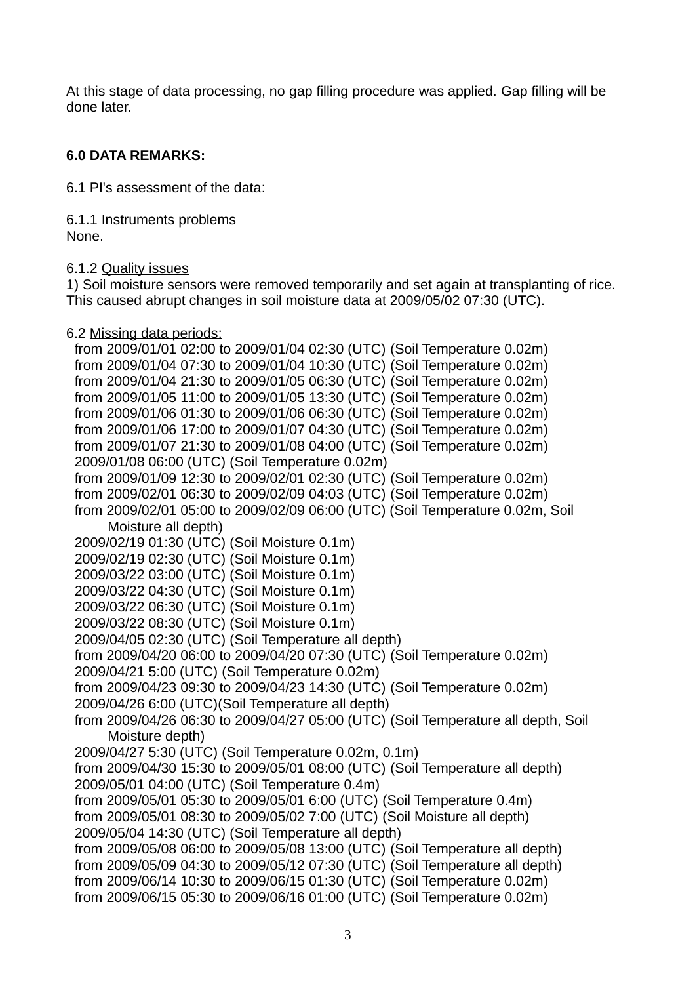At this stage of data processing, no gap filling procedure was applied. Gap filling will be done later.

### **6.0 DATA REMARKS:**

6.1 PI's assessment of the data:

6.1.1 Instruments problems None.

6.1.2 Quality issues

1) Soil moisture sensors were removed temporarily and set again at transplanting of rice. This caused abrupt changes in soil moisture data at 2009/05/02 07:30 (UTC).

6.2 Missing data periods:

from 2009/01/01 02:00 to 2009/01/04 02:30 (UTC) (Soil Temperature 0.02m) from 2009/01/04 07:30 to 2009/01/04 10:30 (UTC) (Soil Temperature 0.02m) from 2009/01/04 21:30 to 2009/01/05 06:30 (UTC) (Soil Temperature 0.02m) from 2009/01/05 11:00 to 2009/01/05 13:30 (UTC) (Soil Temperature 0.02m) from 2009/01/06 01:30 to 2009/01/06 06:30 (UTC) (Soil Temperature 0.02m) from 2009/01/06 17:00 to 2009/01/07 04:30 (UTC) (Soil Temperature 0.02m) from 2009/01/07 21:30 to 2009/01/08 04:00 (UTC) (Soil Temperature 0.02m) 2009/01/08 06:00 (UTC) (Soil Temperature 0.02m) from 2009/01/09 12:30 to 2009/02/01 02:30 (UTC) (Soil Temperature 0.02m) from 2009/02/01 06:30 to 2009/02/09 04:03 (UTC) (Soil Temperature 0.02m) from 2009/02/01 05:00 to 2009/02/09 06:00 (UTC) (Soil Temperature 0.02m, Soil Moisture all depth) 2009/02/19 01:30 (UTC) (Soil Moisture 0.1m) 2009/02/19 02:30 (UTC) (Soil Moisture 0.1m) 2009/03/22 03:00 (UTC) (Soil Moisture 0.1m) 2009/03/22 04:30 (UTC) (Soil Moisture 0.1m) 2009/03/22 06:30 (UTC) (Soil Moisture 0.1m) 2009/03/22 08:30 (UTC) (Soil Moisture 0.1m) 2009/04/05 02:30 (UTC) (Soil Temperature all depth) from 2009/04/20 06:00 to 2009/04/20 07:30 (UTC) (Soil Temperature 0.02m) 2009/04/21 5:00 (UTC) (Soil Temperature 0.02m) from 2009/04/23 09:30 to 2009/04/23 14:30 (UTC) (Soil Temperature 0.02m) 2009/04/26 6:00 (UTC)(Soil Temperature all depth) from 2009/04/26 06:30 to 2009/04/27 05:00 (UTC) (Soil Temperature all depth, Soil Moisture depth) 2009/04/27 5:30 (UTC) (Soil Temperature 0.02m, 0.1m) from 2009/04/30 15:30 to 2009/05/01 08:00 (UTC) (Soil Temperature all depth) 2009/05/01 04:00 (UTC) (Soil Temperature 0.4m) from 2009/05/01 05:30 to 2009/05/01 6:00 (UTC) (Soil Temperature 0.4m) from 2009/05/01 08:30 to 2009/05/02 7:00 (UTC) (Soil Moisture all depth) 2009/05/04 14:30 (UTC) (Soil Temperature all depth) from 2009/05/08 06:00 to 2009/05/08 13:00 (UTC) (Soil Temperature all depth) from 2009/05/09 04:30 to 2009/05/12 07:30 (UTC) (Soil Temperature all depth) from 2009/06/14 10:30 to 2009/06/15 01:30 (UTC) (Soil Temperature 0.02m) from 2009/06/15 05:30 to 2009/06/16 01:00 (UTC) (Soil Temperature 0.02m)